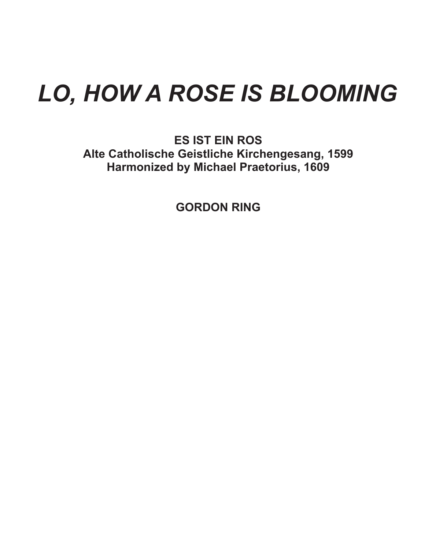## *LO, HOW A ROSE IS BLOOMING*

**ES IST EIN ROS Alte Catholische Geistliche Kirchengesang, 1599 Harmonized by Michael Praetorius, 1609**

**GORDON RING**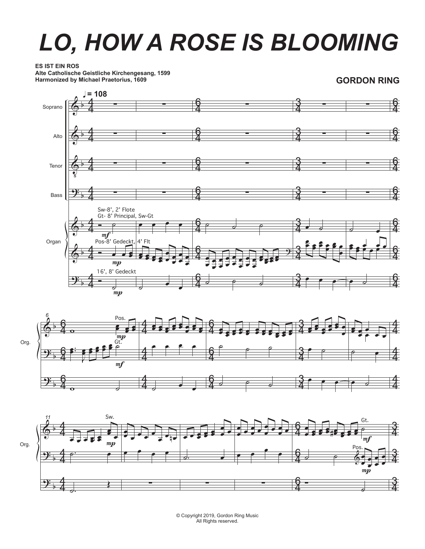## *LO, HOW A ROSE IS BLOOMING*

## **ES IST EIN ROS**

**Alte Catholische Geistliche Kirchengesang, 1599 Harmonized by Michael Praetorius, 1609**

**GORDON RING**







© Copyright 2019, Gordon Ring Music All Rights reserved.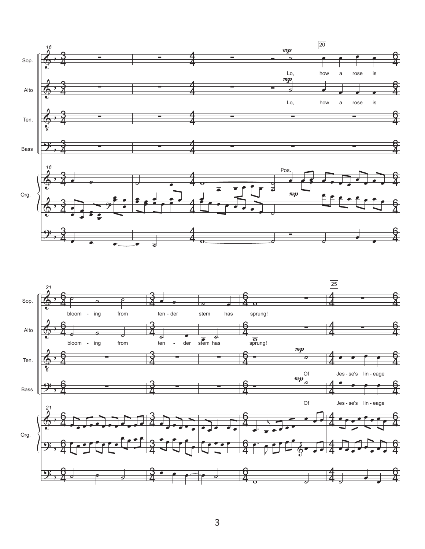

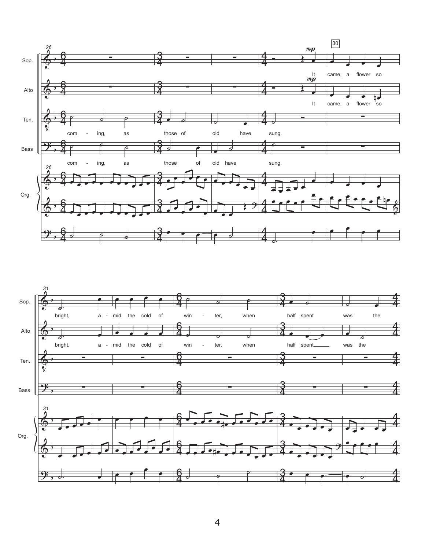

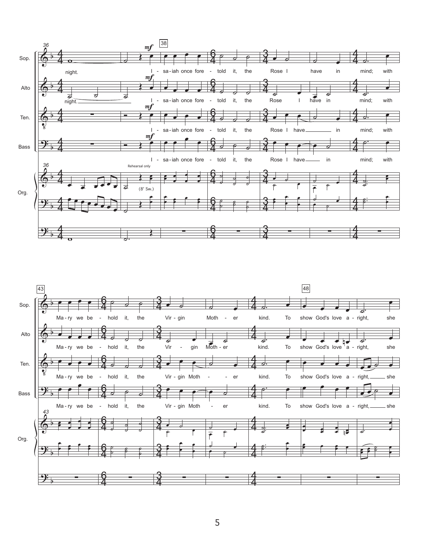

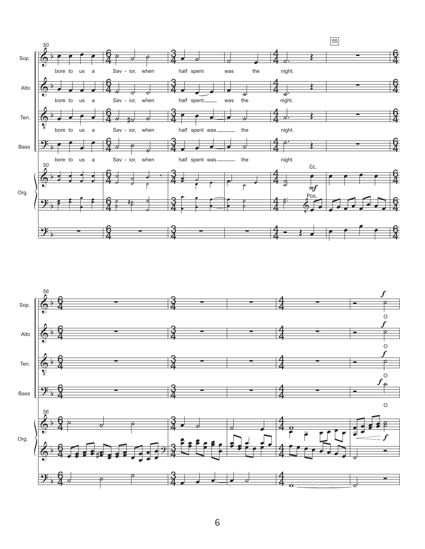

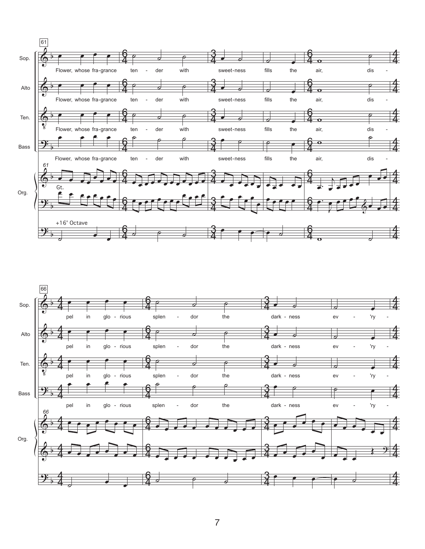